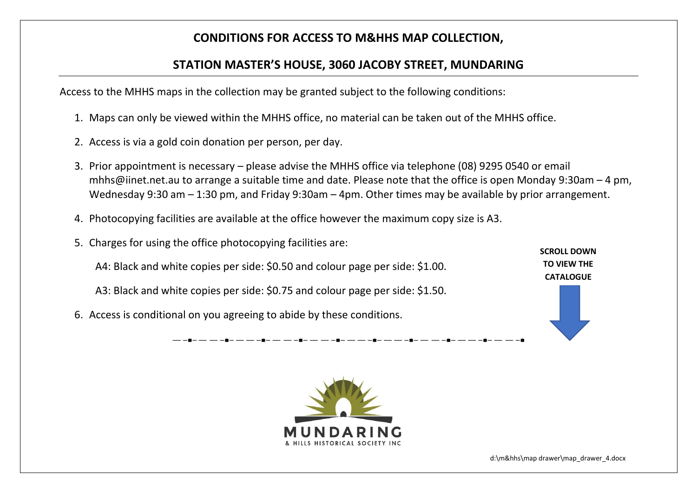## **CONDITIONS FOR ACCESS TO M&HHS MAP COLLECTION,**

## **STATION MASTER'S HOUSE, 3060 JACOBY STREET, MUNDARING**

Access to the MHHS maps in the collection may be granted subject to the following conditions:

- 1. Maps can only be viewed within the MHHS office, no material can be taken out of the MHHS office.
- 2. Access is via a gold coin donation per person, per day.
- 3. Prior appointment is necessary please advise the MHHS office via telephone (08) 9295 0540 or email mhhs@iinet.net.au to arrange a suitable time and date. Please note that the office is open Monday 9:30am – 4 pm, Wednesday 9:30 am – 1:30 pm, and Friday 9:30am – 4pm. Other times may be available by prior arrangement.
- 4. Photocopying facilities are available at the office however the maximum copy size is A3.
- 5. Charges for using the office photocopying facilities are:
	- A4: Black and white copies per side: \$0.50 and colour page per side: \$1.00.
	- A3: Black and white copies per side: \$0.75 and colour page per side: \$1.50.
- 6. Access is conditional on you agreeing to abide by these conditions.

**SCROLL DOWN TO VIEW THE CATALOGUE**



d:\m&hhs\map drawer\map\_drawer\_4.docx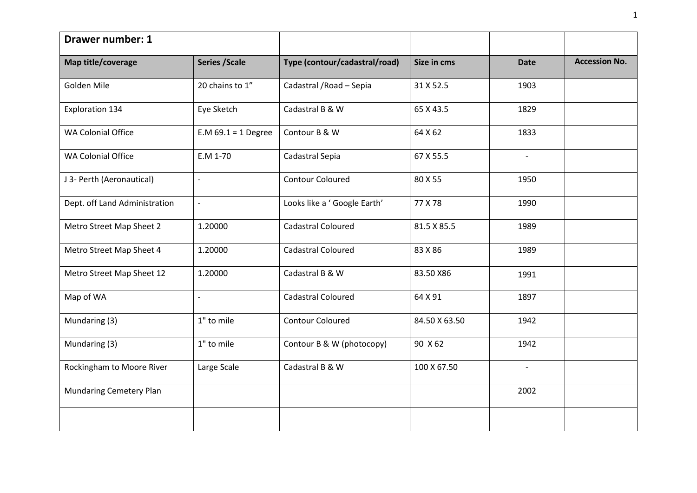| <b>Drawer number: 1</b>       |                          |                               |               |                          |                      |
|-------------------------------|--------------------------|-------------------------------|---------------|--------------------------|----------------------|
| Map title/coverage            | <b>Series / Scale</b>    | Type (contour/cadastral/road) | Size in cms   | <b>Date</b>              | <b>Accession No.</b> |
| Golden Mile                   | 20 chains to 1"          | Cadastral / Road - Sepia      | 31 X 52.5     | 1903                     |                      |
| <b>Exploration 134</b>        | Eye Sketch               | Cadastral B & W               | 65 X 43.5     | 1829                     |                      |
| <b>WA Colonial Office</b>     | $E.M.69.1 = 1$ Degree    | Contour B & W                 | 64 X 62       | 1833                     |                      |
| <b>WA Colonial Office</b>     | E.M 1-70                 | Cadastral Sepia               | 67 X 55.5     | $\overline{\phantom{a}}$ |                      |
| J 3- Perth (Aeronautical)     | $\blacksquare$           | <b>Contour Coloured</b>       | 80 X 55       | 1950                     |                      |
| Dept. off Land Administration | $\overline{\phantom{a}}$ | Looks like a ' Google Earth'  | 77 X 78       | 1990                     |                      |
| Metro Street Map Sheet 2      | 1.20000                  | <b>Cadastral Coloured</b>     | 81.5 X 85.5   | 1989                     |                      |
| Metro Street Map Sheet 4      | 1.20000                  | Cadastral Coloured            | 83 X 86       | 1989                     |                      |
| Metro Street Map Sheet 12     | 1.20000                  | Cadastral B & W               | 83.50 X86     | 1991                     |                      |
| Map of WA                     | $\blacksquare$           | Cadastral Coloured            | 64 X 91       | 1897                     |                      |
| Mundaring (3)                 | 1" to mile               | <b>Contour Coloured</b>       | 84.50 X 63.50 | 1942                     |                      |
| Mundaring (3)                 | 1" to mile               | Contour B & W (photocopy)     | 90 X 62       | 1942                     |                      |
| Rockingham to Moore River     | Large Scale              | Cadastral B & W               | 100 X 67.50   | $\overline{\phantom{a}}$ |                      |
| Mundaring Cemetery Plan       |                          |                               |               | 2002                     |                      |
|                               |                          |                               |               |                          |                      |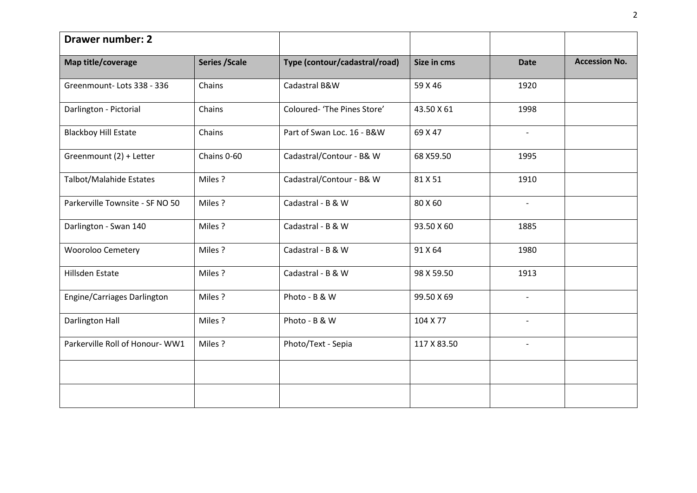| <b>Drawer number: 2</b>         |                       |                               |             |                          |                      |
|---------------------------------|-----------------------|-------------------------------|-------------|--------------------------|----------------------|
| Map title/coverage              | <b>Series / Scale</b> | Type (contour/cadastral/road) | Size in cms | <b>Date</b>              | <b>Accession No.</b> |
| Greenmount-Lots 338 - 336       | Chains                | Cadastral B&W                 | 59 X 46     | 1920                     |                      |
| Darlington - Pictorial          | Chains                | Coloured- 'The Pines Store'   | 43.50 X 61  | 1998                     |                      |
| <b>Blackboy Hill Estate</b>     | Chains                | Part of Swan Loc. 16 - B&W    | 69 X 47     | $\overline{\phantom{a}}$ |                      |
| Greenmount (2) + Letter         | Chains 0-60           | Cadastral/Contour - B& W      | 68 X59.50   | 1995                     |                      |
| Talbot/Malahide Estates         | Miles?                | Cadastral/Contour - B& W      | 81 X 51     | 1910                     |                      |
| Parkerville Townsite - SF NO 50 | Miles?                | Cadastral - B & W             | 80 X 60     | $\sim$                   |                      |
| Darlington - Swan 140           | Miles?                | Cadastral - B & W             | 93.50 X 60  | 1885                     |                      |
| Wooroloo Cemetery               | Miles?                | Cadastral - B & W             | 91 X 64     | 1980                     |                      |
| <b>Hillsden Estate</b>          | Miles?                | Cadastral - B & W             | 98 X 59.50  | 1913                     |                      |
| Engine/Carriages Darlington     | Miles?                | Photo - B & W                 | 99.50 X 69  | $\overline{\phantom{a}}$ |                      |
| <b>Darlington Hall</b>          | Miles?                | Photo - B & W                 | 104 X 77    | $\overline{\phantom{a}}$ |                      |
| Parkerville Roll of Honour-WW1  | Miles?                | Photo/Text - Sepia            | 117 X 83.50 | $\sim$                   |                      |
|                                 |                       |                               |             |                          |                      |
|                                 |                       |                               |             |                          |                      |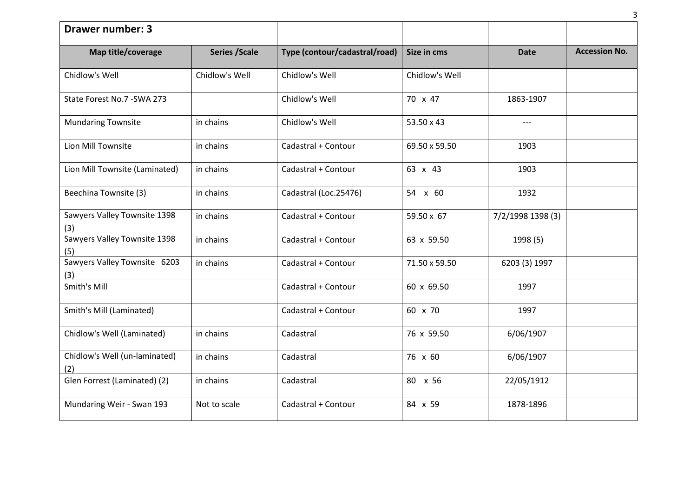| <b>Drawer number: 3</b>              |                       |                               |                |                   |                      |
|--------------------------------------|-----------------------|-------------------------------|----------------|-------------------|----------------------|
| Map title/coverage                   | <b>Series / Scale</b> | Type (contour/cadastral/road) | Size in cms    | <b>Date</b>       | <b>Accession No.</b> |
| Chidlow's Well                       | Chidlow's Well        | Chidlow's Well                | Chidlow's Well |                   |                      |
| State Forest No.7 - SWA 273          |                       | Chidlow's Well                | 70 x 47        | 1863-1907         |                      |
| <b>Mundaring Townsite</b>            | in chains             | Chidlow's Well                | 53.50 x 43     | $---$             |                      |
| Lion Mill Townsite                   | in chains             | Cadastral + Contour           | 69.50 x 59.50  | 1903              |                      |
| Lion Mill Townsite (Laminated)       | in chains             | Cadastral + Contour           | 63 x 43        | 1903              |                      |
| Beechina Townsite (3)                | in chains             | Cadastral (Loc.25476)         | 54 x 60        | 1932              |                      |
| Sawyers Valley Townsite 1398<br>(3)  | in chains             | Cadastral + Contour           | 59.50 x 67     | 7/2/1998 1398 (3) |                      |
| Sawyers Valley Townsite 1398<br>(5)  | in chains             | Cadastral + Contour           | 63 x 59.50     | 1998 (5)          |                      |
| Sawyers Valley Townsite 6203<br>(3)  | in chains             | Cadastral + Contour           | 71.50 x 59.50  | 6203 (3) 1997     |                      |
| Smith's Mill                         |                       | Cadastral + Contour           | 60 x 69.50     | 1997              |                      |
| Smith's Mill (Laminated)             |                       | Cadastral + Contour           | 60 x 70        | 1997              |                      |
| Chidlow's Well (Laminated)           | in chains             | Cadastral                     | 76 x 59.50     | 6/06/1907         |                      |
| Chidlow's Well (un-laminated)<br>(2) | in chains             | Cadastral                     | 76 x 60        | 6/06/1907         |                      |
| Glen Forrest (Laminated) (2)         | in chains             | Cadastral                     | 80 x 56        | 22/05/1912        |                      |
| Mundaring Weir - Swan 193            | Not to scale          | Cadastral + Contour           | 84 x 59        | 1878-1896         |                      |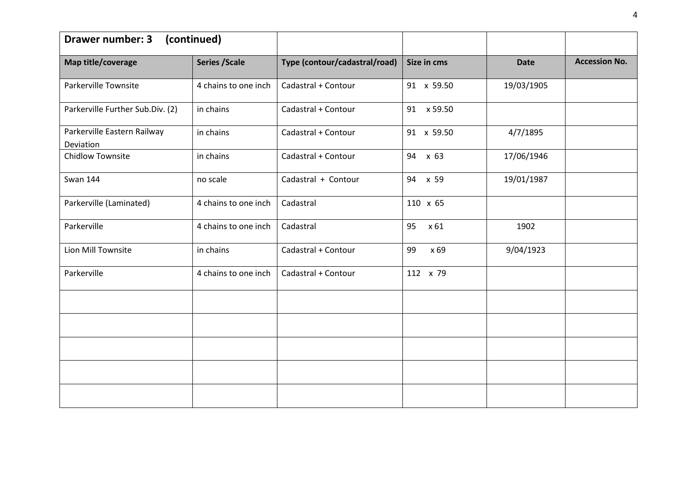| <b>Drawer number: 3</b>                  | (continued)           |                               |             |             |                      |
|------------------------------------------|-----------------------|-------------------------------|-------------|-------------|----------------------|
| Map title/coverage                       | <b>Series / Scale</b> | Type (contour/cadastral/road) | Size in cms | <b>Date</b> | <b>Accession No.</b> |
| Parkerville Townsite                     | 4 chains to one inch  | Cadastral + Contour           | 91 x 59.50  | 19/03/1905  |                      |
| Parkerville Further Sub.Div. (2)         | in chains             | Cadastral + Contour           | 91 x 59.50  |             |                      |
| Parkerville Eastern Railway<br>Deviation | in chains             | Cadastral + Contour           | 91 x 59.50  | 4/7/1895    |                      |
| <b>Chidlow Townsite</b>                  | in chains             | Cadastral + Contour           | 94 x 63     | 17/06/1946  |                      |
| <b>Swan 144</b>                          | no scale              | Cadastral + Contour           | 94 x 59     | 19/01/1987  |                      |
| Parkerville (Laminated)                  | 4 chains to one inch  | Cadastral                     | 110 x 65    |             |                      |
| Parkerville                              | 4 chains to one inch  | Cadastral                     | 95<br>x 61  | 1902        |                      |
| Lion Mill Townsite                       | in chains             | Cadastral + Contour           | 99<br>x 69  | 9/04/1923   |                      |
| Parkerville                              | 4 chains to one inch  | Cadastral + Contour           | 112 x 79    |             |                      |
|                                          |                       |                               |             |             |                      |
|                                          |                       |                               |             |             |                      |
|                                          |                       |                               |             |             |                      |
|                                          |                       |                               |             |             |                      |
|                                          |                       |                               |             |             |                      |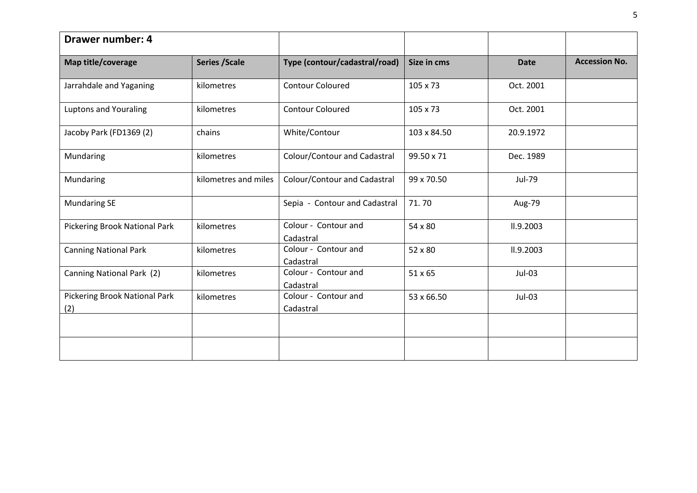| <b>Drawer number: 4</b>              |                       |                                   |             |             |                      |
|--------------------------------------|-----------------------|-----------------------------------|-------------|-------------|----------------------|
| Map title/coverage                   | <b>Series / Scale</b> | Type (contour/cadastral/road)     | Size in cms | <b>Date</b> | <b>Accession No.</b> |
| Jarrahdale and Yaganing              | kilometres            | <b>Contour Coloured</b>           | 105 x 73    | Oct. 2001   |                      |
| <b>Luptons and Youraling</b>         | kilometres            | <b>Contour Coloured</b>           | 105 x 73    | Oct. 2001   |                      |
| Jacoby Park (FD1369 (2)              | chains                | White/Contour                     | 103 x 84.50 | 20.9.1972   |                      |
| Mundaring                            | kilometres            | Colour/Contour and Cadastral      | 99.50 x 71  | Dec. 1989   |                      |
| Mundaring                            | kilometres and miles  | Colour/Contour and Cadastral      | 99 x 70.50  | Jul-79      |                      |
| <b>Mundaring SE</b>                  |                       | Sepia - Contour and Cadastral     | 71.70       | Aug-79      |                      |
| Pickering Brook National Park        | kilometres            | Colour - Contour and<br>Cadastral | 54 x 80     | II.9.2003   |                      |
| <b>Canning National Park</b>         | kilometres            | Colour - Contour and<br>Cadastral | 52 x 80     | II.9.2003   |                      |
| Canning National Park (2)            | kilometres            | Colour - Contour and<br>Cadastral | 51 x 65     | $Jul-03$    |                      |
| Pickering Brook National Park<br>(2) | kilometres            | Colour - Contour and<br>Cadastral | 53 x 66.50  | $Jul-03$    |                      |
|                                      |                       |                                   |             |             |                      |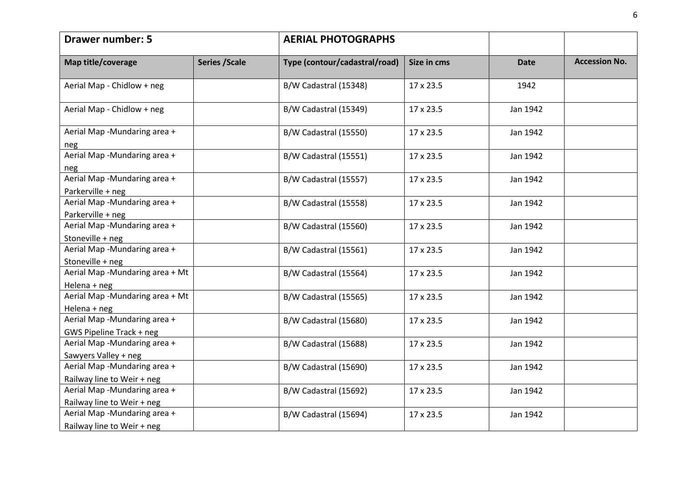| <b>Drawer number: 5</b>                                    | <b>AERIAL PHOTOGRAPHS</b> |                               |             |             |                      |
|------------------------------------------------------------|---------------------------|-------------------------------|-------------|-------------|----------------------|
| Map title/coverage                                         | <b>Series / Scale</b>     | Type (contour/cadastral/road) | Size in cms | <b>Date</b> | <b>Accession No.</b> |
| Aerial Map - Chidlow + neg                                 |                           | B/W Cadastral (15348)         | 17 x 23.5   | 1942        |                      |
| Aerial Map - Chidlow + neg                                 |                           | B/W Cadastral (15349)         | 17 x 23.5   | Jan 1942    |                      |
| Aerial Map -Mundaring area +<br>neg                        |                           | B/W Cadastral (15550)         | 17 x 23.5   | Jan 1942    |                      |
| Aerial Map -Mundaring area +<br>neg                        |                           | B/W Cadastral (15551)         | 17 x 23.5   | Jan 1942    |                      |
| Aerial Map -Mundaring area +<br>Parkerville + neg          |                           | B/W Cadastral (15557)         | 17 x 23.5   | Jan 1942    |                      |
| Aerial Map -Mundaring area +<br>Parkerville + neg          |                           | B/W Cadastral (15558)         | 17 x 23.5   | Jan 1942    |                      |
| Aerial Map -Mundaring area +<br>Stoneville + neg           |                           | B/W Cadastral (15560)         | 17 x 23.5   | Jan 1942    |                      |
| Aerial Map -Mundaring area +<br>Stoneville + neg           |                           | B/W Cadastral (15561)         | 17 x 23.5   | Jan 1942    |                      |
| Aerial Map -Mundaring area + Mt<br>Helena + neg            |                           | B/W Cadastral (15564)         | 17 x 23.5   | Jan 1942    |                      |
| Aerial Map -Mundaring area + Mt<br>Helena + neg            |                           | B/W Cadastral (15565)         | 17 x 23.5   | Jan 1942    |                      |
| Aerial Map -Mundaring area +<br>GWS Pipeline Track + neg   |                           | B/W Cadastral (15680)         | 17 x 23.5   | Jan 1942    |                      |
| Aerial Map -Mundaring area +<br>Sawyers Valley + neg       |                           | B/W Cadastral (15688)         | 17 x 23.5   | Jan 1942    |                      |
| Aerial Map -Mundaring area +<br>Railway line to Weir + neg |                           | B/W Cadastral (15690)         | 17 x 23.5   | Jan 1942    |                      |
| Aerial Map -Mundaring area +<br>Railway line to Weir + neg |                           | B/W Cadastral (15692)         | 17 x 23.5   | Jan 1942    |                      |
| Aerial Map -Mundaring area +<br>Railway line to Weir + neg |                           | B/W Cadastral (15694)         | 17 x 23.5   | Jan 1942    |                      |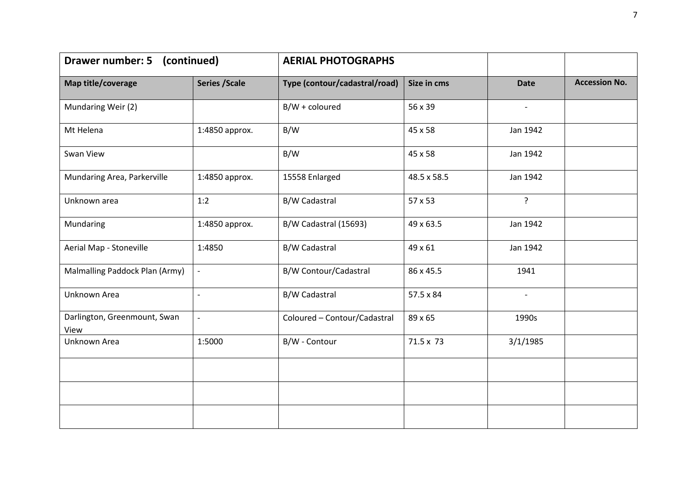| <b>Drawer number: 5</b>              | (continued)              | <b>AERIAL PHOTOGRAPHS</b>     |             |                          |                      |
|--------------------------------------|--------------------------|-------------------------------|-------------|--------------------------|----------------------|
| Map title/coverage                   | <b>Series / Scale</b>    | Type (contour/cadastral/road) | Size in cms | <b>Date</b>              | <b>Accession No.</b> |
| Mundaring Weir (2)                   |                          | $B/W +$ coloured              | 56 x 39     | $\overline{\phantom{a}}$ |                      |
| Mt Helena                            | 1:4850 approx.           | B/W                           | 45 x 58     | Jan 1942                 |                      |
| Swan View                            |                          | B/W                           | 45 x 58     | Jan 1942                 |                      |
| Mundaring Area, Parkerville          | 1:4850 approx.           | 15558 Enlarged                | 48.5 x 58.5 | Jan 1942                 |                      |
| Unknown area                         | 1:2                      | <b>B/W Cadastral</b>          | 57 x 53     | $\mathbf{P}$             |                      |
| Mundaring                            | 1:4850 approx.           | B/W Cadastral (15693)         | 49 x 63.5   | Jan 1942                 |                      |
| Aerial Map - Stoneville              | 1:4850                   | <b>B/W Cadastral</b>          | 49 x 61     | Jan 1942                 |                      |
| Malmalling Paddock Plan (Army)       | $\overline{\phantom{a}}$ | B/W Contour/Cadastral         | 86 x 45.5   | 1941                     |                      |
| Unknown Area                         | $\overline{\phantom{a}}$ | <b>B/W Cadastral</b>          | 57.5 x 84   | $\overline{\phantom{a}}$ |                      |
| Darlington, Greenmount, Swan<br>View | $\overline{\phantom{a}}$ | Coloured - Contour/Cadastral  | 89 x 65     | 1990s                    |                      |
| Unknown Area                         | 1:5000                   | B/W - Contour                 | 71.5 x 73   | 3/1/1985                 |                      |
|                                      |                          |                               |             |                          |                      |
|                                      |                          |                               |             |                          |                      |
|                                      |                          |                               |             |                          |                      |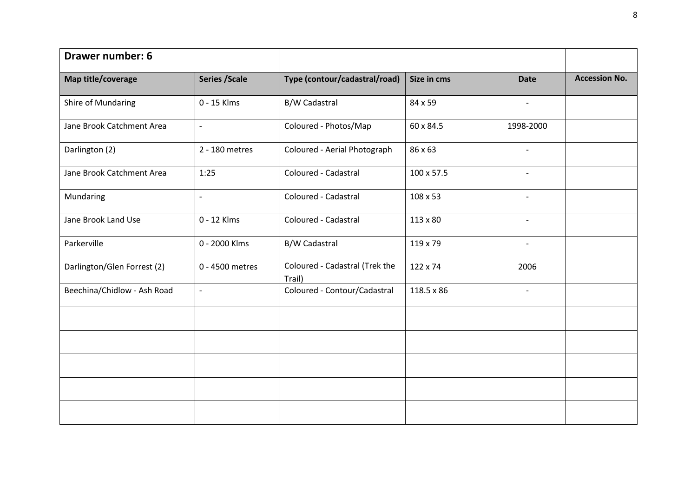| <b>Drawer number: 6</b>     |                          |                                          |             |                          |                      |
|-----------------------------|--------------------------|------------------------------------------|-------------|--------------------------|----------------------|
| Map title/coverage          | <b>Series / Scale</b>    | Type (contour/cadastral/road)            | Size in cms | <b>Date</b>              | <b>Accession No.</b> |
| Shire of Mundaring          | 0 - 15 Klms              | <b>B/W Cadastral</b>                     | 84 x 59     | $\overline{\phantom{a}}$ |                      |
| Jane Brook Catchment Area   | $\overline{\phantom{a}}$ | Coloured - Photos/Map                    | 60 x 84.5   | 1998-2000                |                      |
| Darlington (2)              | 2 - 180 metres           | Coloured - Aerial Photograph             | 86 x 63     | $\overline{\phantom{a}}$ |                      |
| Jane Brook Catchment Area   | 1:25                     | Coloured - Cadastral                     | 100 x 57.5  |                          |                      |
| Mundaring                   | $\sim$                   | Coloured - Cadastral                     | 108 x 53    | $\overline{\phantom{a}}$ |                      |
| Jane Brook Land Use         | 0 - 12 Klms              | Coloured - Cadastral                     | 113 x 80    | $\overline{\phantom{a}}$ |                      |
| Parkerville                 | 0 - 2000 Klms            | B/W Cadastral                            | 119 x 79    |                          |                      |
| Darlington/Glen Forrest (2) | 0 - 4500 metres          | Coloured - Cadastral (Trek the<br>Trail) | 122 x 74    | 2006                     |                      |
| Beechina/Chidlow - Ash Road | $\overline{\phantom{a}}$ | Coloured - Contour/Cadastral             | 118.5 x 86  | $\overline{\phantom{a}}$ |                      |
|                             |                          |                                          |             |                          |                      |
|                             |                          |                                          |             |                          |                      |
|                             |                          |                                          |             |                          |                      |
|                             |                          |                                          |             |                          |                      |
|                             |                          |                                          |             |                          |                      |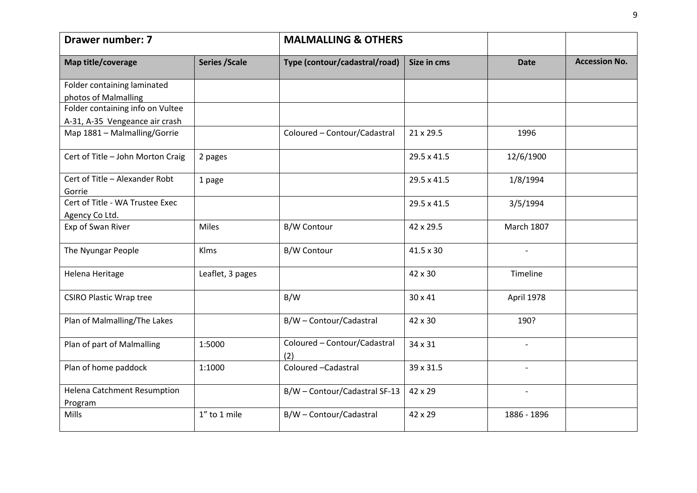| <b>Drawer number: 7</b>                       |                       | <b>MALMALLING &amp; OTHERS</b>      |             |                          |                      |
|-----------------------------------------------|-----------------------|-------------------------------------|-------------|--------------------------|----------------------|
| Map title/coverage                            | <b>Series / Scale</b> | Type (contour/cadastral/road)       | Size in cms | <b>Date</b>              | <b>Accession No.</b> |
| Folder containing laminated                   |                       |                                     |             |                          |                      |
| photos of Malmalling                          |                       |                                     |             |                          |                      |
| Folder containing info on Vultee              |                       |                                     |             |                          |                      |
| A-31, A-35 Vengeance air crash                |                       |                                     |             |                          |                      |
| Map 1881 - Malmalling/Gorrie                  |                       | Coloured - Contour/Cadastral        | 21 x 29.5   | 1996                     |                      |
| Cert of Title - John Morton Craig             | 2 pages               |                                     | 29.5 x 41.5 | 12/6/1900                |                      |
| Cert of Title - Alexander Robt                | 1 page                |                                     | 29.5 x 41.5 | 1/8/1994                 |                      |
| Gorrie                                        |                       |                                     |             |                          |                      |
| Cert of Title - WA Trustee Exec               |                       |                                     | 29.5 x 41.5 | 3/5/1994                 |                      |
| Agency Co Ltd.                                |                       |                                     |             |                          |                      |
| Exp of Swan River                             | Miles                 | <b>B/W Contour</b>                  | 42 x 29.5   | <b>March 1807</b>        |                      |
| The Nyungar People                            | Klms                  | <b>B/W Contour</b>                  | 41.5 x 30   |                          |                      |
| Helena Heritage                               | Leaflet, 3 pages      |                                     | 42 x 30     | Timeline                 |                      |
| <b>CSIRO Plastic Wrap tree</b>                |                       | B/W                                 | 30 x 41     | April 1978               |                      |
| Plan of Malmalling/The Lakes                  |                       | B/W - Contour/Cadastral             | 42 x 30     | 190?                     |                      |
| Plan of part of Malmalling                    | 1:5000                | Coloured - Contour/Cadastral<br>(2) | 34 x 31     | $\overline{\phantom{a}}$ |                      |
| Plan of home paddock                          | 1:1000                | Coloured - Cadastral                | 39 x 31.5   |                          |                      |
| <b>Helena Catchment Resumption</b><br>Program |                       | B/W - Contour/Cadastral SF-13       | 42 x 29     | $\overline{\phantom{a}}$ |                      |
| Mills                                         | 1" to 1 mile          | B/W - Contour/Cadastral             | 42 x 29     | 1886 - 1896              |                      |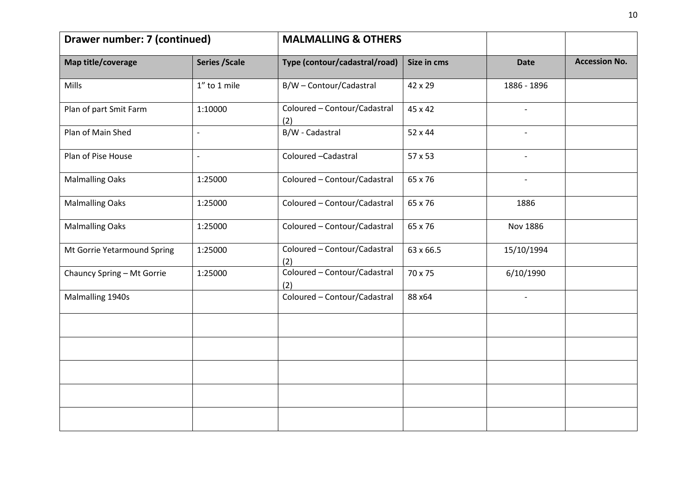| Drawer number: 7 (continued) |                       | <b>MALMALLING &amp; OTHERS</b>      |             |                          |                      |
|------------------------------|-----------------------|-------------------------------------|-------------|--------------------------|----------------------|
| Map title/coverage           | <b>Series / Scale</b> | Type (contour/cadastral/road)       | Size in cms | <b>Date</b>              | <b>Accession No.</b> |
| Mills                        | 1" to 1 mile          | B/W - Contour/Cadastral             | 42 x 29     | 1886 - 1896              |                      |
| Plan of part Smit Farm       | 1:10000               | Coloured - Contour/Cadastral<br>(2) | 45 x 42     | $\overline{\phantom{a}}$ |                      |
| Plan of Main Shed            | $\overline{a}$        | B/W - Cadastral                     | 52 x 44     |                          |                      |
| Plan of Pise House           | $\overline{a}$        | Coloured - Cadastral                | 57 x 53     | $\blacksquare$           |                      |
| <b>Malmalling Oaks</b>       | 1:25000               | Coloured - Contour/Cadastral        | 65 x 76     | $\overline{\phantom{a}}$ |                      |
| <b>Malmalling Oaks</b>       | 1:25000               | Coloured - Contour/Cadastral        | 65 x 76     | 1886                     |                      |
| <b>Malmalling Oaks</b>       | 1:25000               | Coloured - Contour/Cadastral        | 65 x 76     | Nov 1886                 |                      |
| Mt Gorrie Yetarmound Spring  | 1:25000               | Coloured - Contour/Cadastral<br>(2) | 63 x 66.5   | 15/10/1994               |                      |
| Chauncy Spring - Mt Gorrie   | 1:25000               | Coloured - Contour/Cadastral<br>(2) | 70 x 75     | 6/10/1990                |                      |
| Malmalling 1940s             |                       | Coloured - Contour/Cadastral        | 88 x64      |                          |                      |
|                              |                       |                                     |             |                          |                      |
|                              |                       |                                     |             |                          |                      |
|                              |                       |                                     |             |                          |                      |
|                              |                       |                                     |             |                          |                      |
|                              |                       |                                     |             |                          |                      |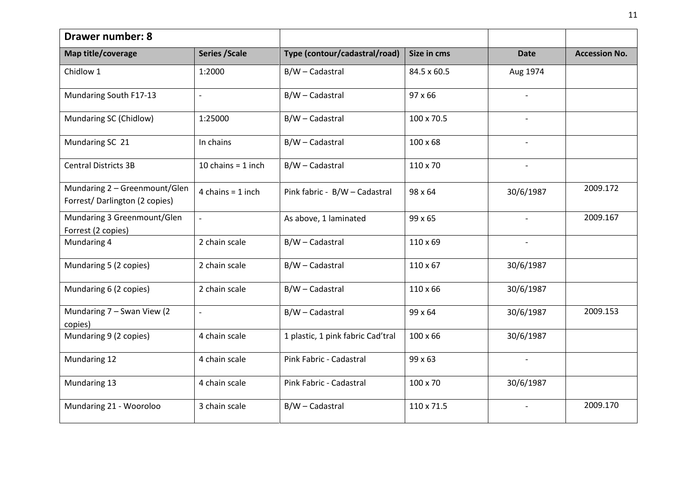| <b>Drawer number: 8</b>                                        |                          |                                   |                 |                          |                      |
|----------------------------------------------------------------|--------------------------|-----------------------------------|-----------------|--------------------------|----------------------|
| Map title/coverage                                             | <b>Series / Scale</b>    | Type (contour/cadastral/road)     | Size in cms     | <b>Date</b>              | <b>Accession No.</b> |
| Chidlow 1                                                      | 1:2000                   | B/W - Cadastral                   | 84.5 x 60.5     | Aug 1974                 |                      |
| Mundaring South F17-13                                         | $\overline{\phantom{a}}$ | B/W - Cadastral                   | 97 x 66         | $\overline{\phantom{a}}$ |                      |
| Mundaring SC (Chidlow)                                         | 1:25000                  | B/W - Cadastral                   | 100 x 70.5      |                          |                      |
| Mundaring SC 21                                                | In chains                | B/W - Cadastral                   | $100 \times 68$ | $\overline{\phantom{a}}$ |                      |
| <b>Central Districts 3B</b>                                    | 10 chains = $1$ inch     | B/W - Cadastral                   | 110 x 70        | $\overline{\phantom{a}}$ |                      |
| Mundaring 2 - Greenmount/Glen<br>Forrest/Darlington (2 copies) | 4 chains = $1$ inch      | Pink fabric - B/W - Cadastral     | 98 x 64         | 30/6/1987                | 2009.172             |
| Mundaring 3 Greenmount/Glen<br>Forrest (2 copies)              | $\overline{a}$           | As above, 1 laminated             | 99 x 65         |                          | 2009.167             |
| Mundaring 4                                                    | 2 chain scale            | B/W - Cadastral                   | 110 x 69        | $\overline{\phantom{a}}$ |                      |
| Mundaring 5 (2 copies)                                         | 2 chain scale            | B/W - Cadastral                   | $110 \times 67$ | 30/6/1987                |                      |
| Mundaring 6 (2 copies)                                         | 2 chain scale            | B/W - Cadastral                   | 110 x 66        | 30/6/1987                |                      |
| Mundaring 7 - Swan View (2)<br>copies)                         | $\overline{a}$           | B/W - Cadastral                   | 99 x 64         | 30/6/1987                | 2009.153             |
| Mundaring 9 (2 copies)                                         | 4 chain scale            | 1 plastic, 1 pink fabric Cad'tral | 100 x 66        | 30/6/1987                |                      |
| Mundaring 12                                                   | 4 chain scale            | Pink Fabric - Cadastral           | 99 x 63         | $\overline{\phantom{a}}$ |                      |
| Mundaring 13                                                   | 4 chain scale            | Pink Fabric - Cadastral           | 100 x 70        | 30/6/1987                |                      |
| Mundaring 21 - Wooroloo                                        | 3 chain scale            | B/W - Cadastral                   | 110 x 71.5      | $\overline{\phantom{a}}$ | 2009.170             |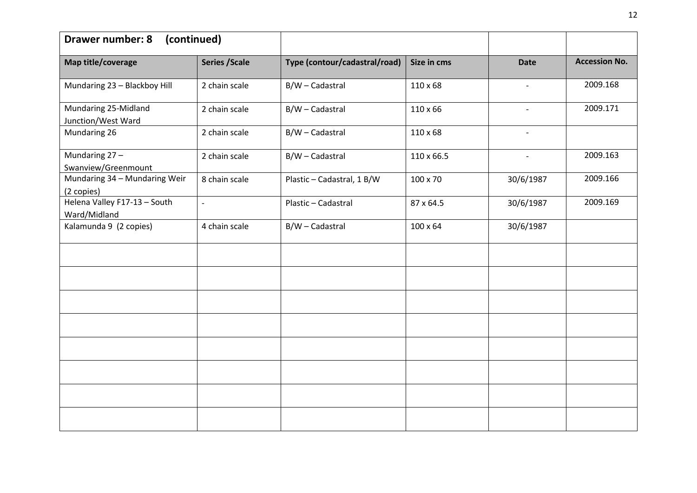| <b>Drawer number: 8</b><br>(continued)       |                       |                               |                 |                          |                      |
|----------------------------------------------|-----------------------|-------------------------------|-----------------|--------------------------|----------------------|
| Map title/coverage                           | <b>Series / Scale</b> | Type (contour/cadastral/road) | Size in cms     | <b>Date</b>              | <b>Accession No.</b> |
| Mundaring 23 - Blackboy Hill                 | 2 chain scale         | B/W - Cadastral               | $110\times 68$  | $\overline{\phantom{a}}$ | 2009.168             |
| Mundaring 25-Midland<br>Junction/West Ward   | 2 chain scale         | B/W - Cadastral               | 110 x 66        | $\overline{\phantom{a}}$ | 2009.171             |
| Mundaring 26                                 | 2 chain scale         | B/W - Cadastral               | $110\times 68$  | $\overline{\phantom{a}}$ |                      |
| Mundaring 27-<br>Swanview/Greenmount         | 2 chain scale         | B/W - Cadastral               | 110 x 66.5      |                          | 2009.163             |
| Mundaring 34 - Mundaring Weir<br>(2 copies)  | 8 chain scale         | Plastic - Cadastral, 1 B/W    | 100 x 70        | 30/6/1987                | 2009.166             |
| Helena Valley F17-13 - South<br>Ward/Midland | $\frac{1}{2}$         | Plastic - Cadastral           | 87 x 64.5       | 30/6/1987                | 2009.169             |
| Kalamunda 9 (2 copies)                       | 4 chain scale         | B/W - Cadastral               | $100 \times 64$ | 30/6/1987                |                      |
|                                              |                       |                               |                 |                          |                      |
|                                              |                       |                               |                 |                          |                      |
|                                              |                       |                               |                 |                          |                      |
|                                              |                       |                               |                 |                          |                      |
|                                              |                       |                               |                 |                          |                      |
|                                              |                       |                               |                 |                          |                      |
|                                              |                       |                               |                 |                          |                      |
|                                              |                       |                               |                 |                          |                      |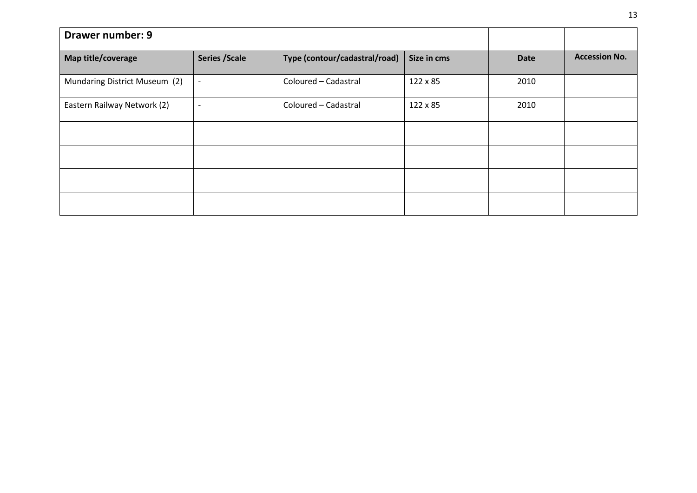| <b>Drawer number: 9</b>       |                          |                               |             |             |                      |
|-------------------------------|--------------------------|-------------------------------|-------------|-------------|----------------------|
| Map title/coverage            | <b>Series / Scale</b>    | Type (contour/cadastral/road) | Size in cms | <b>Date</b> | <b>Accession No.</b> |
| Mundaring District Museum (2) | $\overline{\phantom{a}}$ | Coloured - Cadastral          | 122 x 85    | 2010        |                      |
| Eastern Railway Network (2)   | $\overline{\phantom{a}}$ | Coloured - Cadastral          | 122 x 85    | 2010        |                      |
|                               |                          |                               |             |             |                      |
|                               |                          |                               |             |             |                      |
|                               |                          |                               |             |             |                      |
|                               |                          |                               |             |             |                      |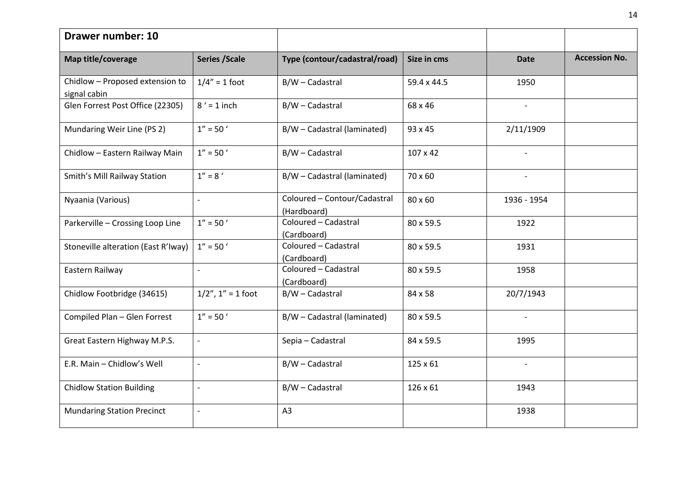| <b>Drawer number: 10</b>                        |                          |                                             |             |                          |                      |
|-------------------------------------------------|--------------------------|---------------------------------------------|-------------|--------------------------|----------------------|
| Map title/coverage                              | <b>Series / Scale</b>    | Type (contour/cadastral/road)               | Size in cms | <b>Date</b>              | <b>Accession No.</b> |
| Chidlow - Proposed extension to<br>signal cabin | $1/4" = 1$ foot          | B/W - Cadastral                             | 59.4 x 44.5 | 1950                     |                      |
| Glen Forrest Post Office (22305)                | $8' = 1$ inch            | B/W - Cadastral                             | 68 x 46     | $\overline{\phantom{a}}$ |                      |
| Mundaring Weir Line (PS 2)                      | $1'' = 50'$              | B/W - Cadastral (laminated)                 | 93 x 45     | 2/11/1909                |                      |
| Chidlow - Eastern Railway Main                  | $1'' = 50'$              | B/W - Cadastral                             | 107 x 42    | $\overline{\phantom{0}}$ |                      |
| Smith's Mill Railway Station                    | $1'' = 8'$               | B/W - Cadastral (laminated)                 | 70 x 60     | $\overline{\phantom{a}}$ |                      |
| Nyaania (Various)                               | $\overline{\phantom{a}}$ | Coloured - Contour/Cadastral<br>(Hardboard) | 80 x 60     | 1936 - 1954              |                      |
| Parkerville - Crossing Loop Line                | $1'' = 50'$              | Coloured - Cadastral<br>(Cardboard)         | 80 x 59.5   | 1922                     |                      |
| Stoneville alteration (East R'Iway)             | $1'' = 50'$              | Coloured - Cadastral<br>(Cardboard)         | 80 x 59.5   | 1931                     |                      |
| Eastern Railway                                 | $\overline{a}$           | Coloured - Cadastral<br>(Cardboard)         | 80 x 59.5   | 1958                     |                      |
| Chidlow Footbridge (34615)                      | $1/2$ ", $1$ " = 1 foot  | B/W - Cadastral                             | 84 x 58     | 20/7/1943                |                      |
| Compiled Plan - Glen Forrest                    | $1'' = 50'$              | B/W - Cadastral (laminated)                 | 80 x 59.5   | $\overline{\phantom{a}}$ |                      |
| Great Eastern Highway M.P.S.                    | $\overline{\phantom{a}}$ | Sepia - Cadastral                           | 84 x 59.5   | 1995                     |                      |
| E.R. Main - Chidlow's Well                      | $\overline{a}$           | B/W - Cadastral                             | 125 x 61    | $\overline{a}$           |                      |
| <b>Chidlow Station Building</b>                 | $\overline{\phantom{a}}$ | B/W - Cadastral                             | 126 x 61    | 1943                     |                      |
| <b>Mundaring Station Precinct</b>               | $\Box$                   | A3                                          |             | 1938                     |                      |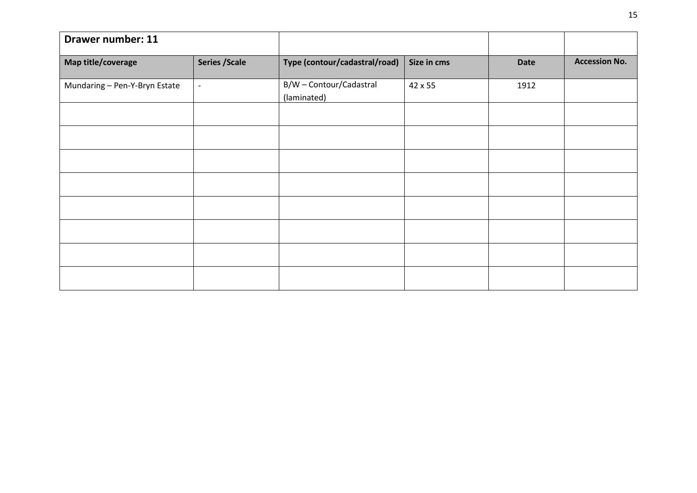| <b>Drawer number: 11</b>      |                          |                                        |             |             |                      |
|-------------------------------|--------------------------|----------------------------------------|-------------|-------------|----------------------|
| Map title/coverage            | <b>Series / Scale</b>    | Type (contour/cadastral/road)          | Size in cms | <b>Date</b> | <b>Accession No.</b> |
| Mundaring - Pen-Y-Bryn Estate | $\overline{\phantom{a}}$ | B/W - Contour/Cadastral<br>(laminated) | 42 x 55     | 1912        |                      |
|                               |                          |                                        |             |             |                      |
|                               |                          |                                        |             |             |                      |
|                               |                          |                                        |             |             |                      |
|                               |                          |                                        |             |             |                      |
|                               |                          |                                        |             |             |                      |
|                               |                          |                                        |             |             |                      |
|                               |                          |                                        |             |             |                      |
|                               |                          |                                        |             |             |                      |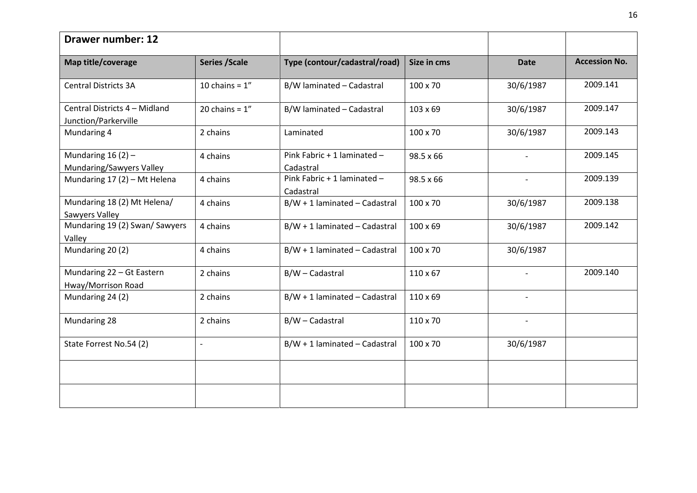| <b>Drawer number: 12</b>                        |                       |                                          |                 |                          |                      |
|-------------------------------------------------|-----------------------|------------------------------------------|-----------------|--------------------------|----------------------|
| Map title/coverage                              | <b>Series / Scale</b> | Type (contour/cadastral/road)            | Size in cms     | <b>Date</b>              | <b>Accession No.</b> |
| <b>Central Districts 3A</b>                     | 10 chains = $1''$     | B/W laminated - Cadastral                | 100 x 70        | 30/6/1987                | 2009.141             |
| Central Districts 4 - Midland                   | 20 chains = $1''$     | B/W laminated - Cadastral                | 103 x 69        | 30/6/1987                | 2009.147             |
| Junction/Parkerville<br>Mundaring 4             | 2 chains              | Laminated                                | 100 x 70        | 30/6/1987                | 2009.143             |
| Mundaring $16(2)$ -<br>Mundaring/Sawyers Valley | 4 chains              | Pink Fabric + 1 laminated -<br>Cadastral | 98.5 x 66       |                          | 2009.145             |
| Mundaring 17 (2) - Mt Helena                    | 4 chains              | Pink Fabric + 1 laminated -<br>Cadastral | 98.5 x 66       | $\overline{\phantom{a}}$ | 2009.139             |
| Mundaring 18 (2) Mt Helena/<br>Sawyers Valley   | 4 chains              | $B/W + 1$ laminated - Cadastral          | 100 x 70        | 30/6/1987                | 2009.138             |
| Mundaring 19 (2) Swan/ Sawyers<br>Valley        | 4 chains              | $B/W + 1$ laminated - Cadastral          | 100 x 69        | 30/6/1987                | 2009.142             |
| Mundaring 20(2)                                 | 4 chains              | $B/W + 1$ laminated - Cadastral          | 100 x 70        | 30/6/1987                |                      |
| Mundaring 22 - Gt Eastern<br>Hway/Morrison Road | 2 chains              | B/W - Cadastral                          | $110 \times 67$ | $\overline{\phantom{a}}$ | 2009.140             |
| Mundaring 24 (2)                                | 2 chains              | $B/W + 1$ laminated - Cadastral          | 110 x 69        | $\overline{\phantom{a}}$ |                      |
| Mundaring 28                                    | 2 chains              | B/W - Cadastral                          | 110 x 70        |                          |                      |
| State Forrest No.54 (2)                         | $\overline{a}$        | $B/W + 1$ laminated - Cadastral          | 100 x 70        | 30/6/1987                |                      |
|                                                 |                       |                                          |                 |                          |                      |
|                                                 |                       |                                          |                 |                          |                      |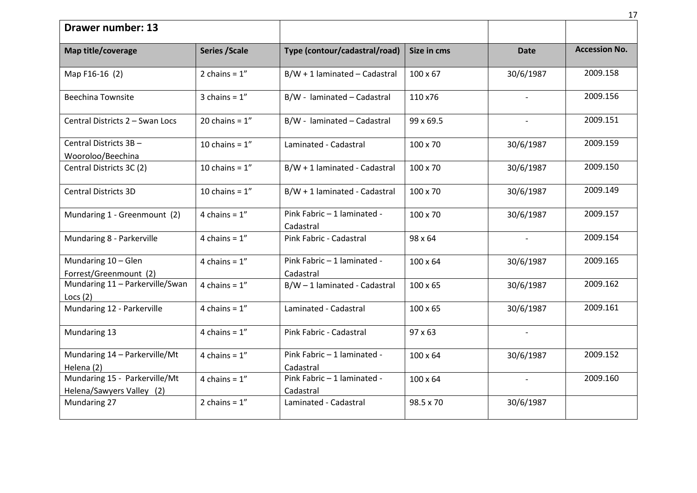|                                                            |                       |                                          |                 |                          | 17                   |
|------------------------------------------------------------|-----------------------|------------------------------------------|-----------------|--------------------------|----------------------|
| <b>Drawer number: 13</b>                                   |                       |                                          |                 |                          |                      |
| Map title/coverage                                         | <b>Series / Scale</b> | Type (contour/cadastral/road)            | Size in cms     | <b>Date</b>              | <b>Accession No.</b> |
| Map F16-16 (2)                                             | 2 chains = $1''$      | $B/W + 1$ laminated - Cadastral          | $100 \times 67$ | 30/6/1987                | 2009.158             |
| <b>Beechina Townsite</b>                                   | 3 chains = $1''$      | B/W - laminated - Cadastral              | 110 x76         |                          | 2009.156             |
| Central Districts 2 - Swan Locs                            | 20 chains = $1''$     | B/W - laminated - Cadastral              | 99 x 69.5       | $\overline{\phantom{a}}$ | 2009.151             |
| Central Districts 3B -<br>Wooroloo/Beechina                | 10 chains = $1''$     | Laminated - Cadastral                    | 100 x 70        | 30/6/1987                | 2009.159             |
| Central Districts 3C (2)                                   | 10 chains = $1''$     | B/W + 1 laminated - Cadastral            | 100 x 70        | 30/6/1987                | 2009.150             |
| <b>Central Districts 3D</b>                                | 10 chains = $1''$     | B/W + 1 laminated - Cadastral            | 100 x 70        | 30/6/1987                | 2009.149             |
| Mundaring 1 - Greenmount (2)                               | 4 chains = $1''$      | Pink Fabric - 1 laminated -<br>Cadastral | 100 x 70        | 30/6/1987                | 2009.157             |
| Mundaring 8 - Parkerville                                  | 4 chains = $1''$      | Pink Fabric - Cadastral                  | 98 x 64         |                          | 2009.154             |
| Mundaring 10 - Glen<br>Forrest/Greenmount (2)              | 4 chains = $1''$      | Pink Fabric - 1 laminated -<br>Cadastral | $100 \times 64$ | 30/6/1987                | 2009.165             |
| Mundaring 11 - Parkerville/Swan<br>Locs $(2)$              | 4 chains = $1''$      | B/W-1 laminated - Cadastral              | 100 x 65        | 30/6/1987                | 2009.162             |
| Mundaring 12 - Parkerville                                 | 4 chains = $1''$      | Laminated - Cadastral                    | 100 x 65        | 30/6/1987                | 2009.161             |
| Mundaring 13                                               | 4 chains = $1''$      | Pink Fabric - Cadastral                  | $97 \times 63$  |                          |                      |
| Mundaring 14 - Parkerville/Mt<br>Helena (2)                | 4 chains = $1''$      | Pink Fabric - 1 laminated -<br>Cadastral | $100 \times 64$ | 30/6/1987                | 2009.152             |
| Mundaring 15 - Parkerville/Mt<br>Helena/Sawyers Valley (2) | 4 chains = $1''$      | Pink Fabric - 1 laminated -<br>Cadastral | 100 x 64        | $\blacksquare$           | 2009.160             |
| Mundaring 27                                               | 2 chains = $1''$      | Laminated - Cadastral                    | 98.5 x 70       | 30/6/1987                |                      |